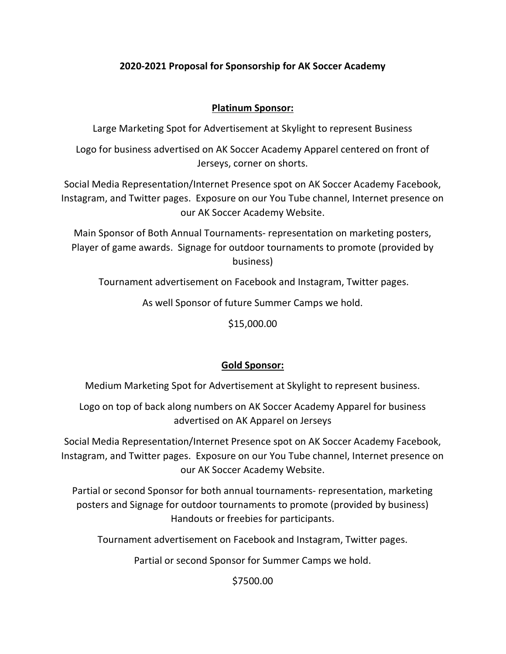# 2020-2021 Proposal for Sponsorship for AK Soccer Academy

### Platinum Sponsor:

Large Marketing Spot for Advertisement at Skylight to represent Business

Logo for business advertised on AK Soccer Academy Apparel centered on front of Jerseys, corner on shorts.

Social Media Representation/Internet Presence spot on AK Soccer Academy Facebook, Instagram, and Twitter pages. Exposure on our You Tube channel, Internet presence on our AK Soccer Academy Website.

Main Sponsor of Both Annual Tournaments- representation on marketing posters, Player of game awards. Signage for outdoor tournaments to promote (provided by business)

Tournament advertisement on Facebook and Instagram, Twitter pages.

As well Sponsor of future Summer Camps we hold.

\$15,000.00

# Gold Sponsor:

Medium Marketing Spot for Advertisement at Skylight to represent business.

Logo on top of back along numbers on AK Soccer Academy Apparel for business advertised on AK Apparel on Jerseys

Social Media Representation/Internet Presence spot on AK Soccer Academy Facebook, Instagram, and Twitter pages. Exposure on our You Tube channel, Internet presence on our AK Soccer Academy Website.

Partial or second Sponsor for both annual tournaments- representation, marketing posters and Signage for outdoor tournaments to promote (provided by business) Handouts or freebies for participants.

Tournament advertisement on Facebook and Instagram, Twitter pages.

Partial or second Sponsor for Summer Camps we hold.

\$7500.00